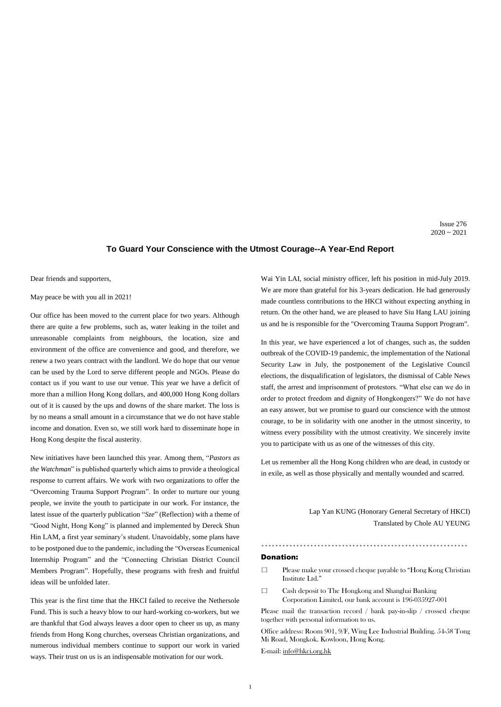# **To Guard Your Conscience with the Utmost Courage--A Year-End Report**

Dear friends and supporters,

May peace be with you all in 2021!

Our office has been moved to the current place for two years. Although there are quite a few problems, such as, water leaking in the toilet and unreasonable complaints from neighbours, the location, size and environment of the office are convenience and good, and therefore, we renew a two years contract with the landlord. We do hope that our venue can be used by the Lord to serve different people and NGOs. Please do contact us if you want to use our venue. This year we have a deficit of more than a million Hong Kong dollars, and 400,000 Hong Kong dollars out of it is caused by the ups and downs of the share market. The loss is by no means a small amount in a circumstance that we do not have stable income and donation. Even so, we still work hard to disseminate hope in Hong Kong despite the fiscal austerity.

New initiatives have been launched this year. Among them, "*Pastors as the Watchman*" is published quarterly which aims to provide a theological response to current affairs. We work with two organizations to offer the "Overcoming Trauma Support Program". In order to nurture our young people, we invite the youth to participate in our work. For instance, the latest issue of the quarterly publication "*Sze*" (Reflection) with a theme of "Good Night, Hong Kong" is planned and implemented by Dereck Shun Hin LAM, a first year seminary's student. Unavoidably, some plans have to be postponed due to the pandemic, including the "Overseas Ecumenical Internship Program" and the "Connecting Christian District Council Members Program". Hopefully, these programs with fresh and fruitful ideas will be unfolded later.

- $\Box$  Please make your crossed cheque payable to "Hong Kong Christian" Institute Ltd."
- 口 Cash deposit to The Hongkong and Shanghai Banking Corporation Limited, our bank account is 196-035927-001

This year is the first time that the HKCI failed to receive the Nethersole Fund. This is such a heavy blow to our hard-working co-workers, but we are thankful that God always leaves a door open to cheer us up, as many friends from Hong Kong churches, overseas Christian organizations, and numerous individual members continue to support our work in varied ways. Their trust on us is an indispensable motivation for our work.

Wai Yin LAI, social ministry officer, left his position in mid-July 2019. We are more than grateful for his 3-years dedication. He had generously made countless contributions to the HKCI without expecting anything in return. On the other hand, we are pleased to have Siu Hang LAU joining us and he is responsible for the "Overcoming Trauma Support Program".

In this year, we have experienced a lot of changes, such as, the sudden outbreak of the COVID-19 pandemic, the implementation of the National Security Law in July, the postponement of the Legislative Council elections, the disqualification of legislators, the dismissal of Cable News staff, the arrest and imprisonment of protestors. "What else can we do in order to protect freedom and dignity of Hongkongers?" We do not have an easy answer, but we promise to guard our conscience with the utmost courage, to be in solidarity with one another in the utmost sincerity, to witness every possibility with the utmost creativity. We sincerely invite you to participate with us as one of the witnesses of this city.

Let us remember all the Hong Kong children who are dead, in custody or in exile, as well as those physically and mentally wounded and scarred.

> Lap Yan KUNG (Honorary General Secretary of HKCI) Translated by Chole AU YEUNG

#### \*\*\*\*\*\*\*\*\*\*\*\*\*\*\*\*\*\*\*\*\*\*\*\*\*\*\*\*\*\*\*\*\*\*\*\*\*\*\*\*\*\*\*\*\*\*\*\*\*\*\*\*\*\*\*\*\*\*\*

### Donation:

Please mail the transaction record / bank pay-in-slip / crossed cheque together with personal information to us.

Office address: Room 901, 9/F, Wing Lee Industrial Building. 54-58 Tong Mi Road, Mongkok. Kowloon, Hong Kong.

E-mail: [info@hkci.org.hk](mailto:info@hkci.org.hk)